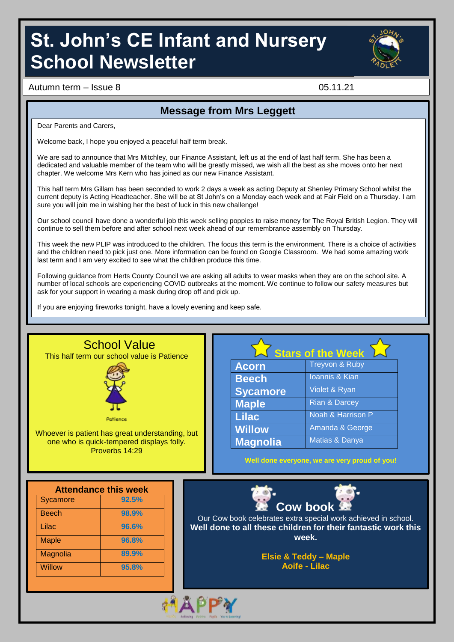# **St. John's CE Infant and Nursery School Newsletter**



Autumn term – Issue 8 05.11.21

### **Message from Mrs Leggett**

Dear Parents and Carers.

Welcome back, I hope you enjoyed a peaceful half term break.

We are sad to announce that Mrs Mitchley, our Finance Assistant, left us at the end of last half term. She has been a dedicated and valuable member of the team who will be greatly missed, we wish all the best as she moves onto her next chapter. We welcome Mrs Kern who has joined as our new Finance Assistant.

This half term Mrs Gillam has been seconded to work 2 days a week as acting Deputy at Shenley Primary School whilst the current deputy is Acting Headteacher. She will be at St John's on a Monday each week and at Fair Field on a Thursday. I am sure you will join me in wishing her the best of luck in this new challenge!

Our school council have done a wonderful job this week selling poppies to raise money for The Royal British Legion. They will continue to sell them before and after school next week ahead of our remembrance assembly on Thursday.

This week the new PLIP was introduced to the children. The focus this term is the environment. There is a choice of activities and the children need to pick just one. More information can be found on Google Classroom. We had some amazing work last term and I am very excited to see what the children produce this time.

Following guidance from Herts County Council we are asking all adults to wear masks when they are on the school site. A number of local schools are experiencing COVID outbreaks at the moment. We continue to follow our safety measures but ask for your support in wearing a mask during drop off and pick up.

If you are enjoying fireworks tonight, have a lovely evening and keep safe.



**Aoife - Lilac**

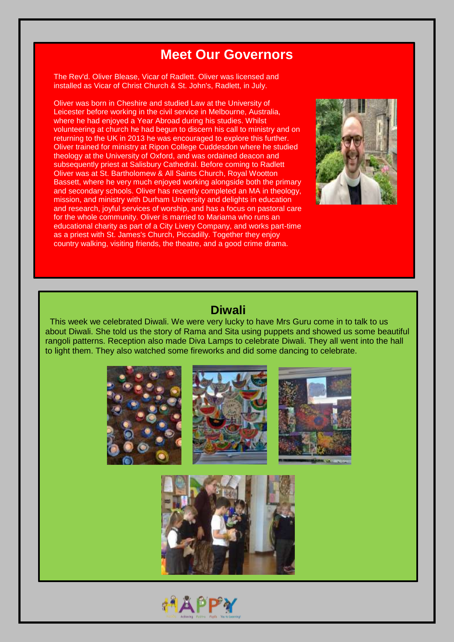### **Meet Our Governors**

The Rev'd. Oliver Blease, Vicar of Radlett. Oliver was licensed and installed as Vicar of Christ Church & St. John's, Radlett, in July.

Oliver was born in Cheshire and studied Law at the University of Leicester before working in the civil service in Melbourne, Australia, where he had enjoyed a Year Abroad during his studies. Whilst volunteering at church he had begun to discern his call to ministry and on returning to the UK in 2013 he was encouraged to explore this further. Oliver trained for ministry at Ripon College Cuddesdon where he studied theology at the University of Oxford, and was ordained deacon and subsequently priest at Salisbury Cathedral. Before coming to Radlett Oliver was at St. Bartholomew & All Saints Church, Royal Wootton Bassett, where he very much enjoyed working alongside both the primary and secondary schools. Oliver has recently completed an MA in theology, mission, and ministry with Durham University and delights in education and research, joyful services of worship, and has a focus on pastoral care for the whole community. Oliver is married to Mariama who runs an educational charity as part of a City Livery Company, and works part-time as a priest with St. James's Church, Piccadilly. Together they enjoy country walking, visiting friends, the theatre, and a good crime drama.

I

I



### **Diwali**

 This week we celebrated Diwali. We were very lucky to have Mrs Guru come in to talk to us about Diwali. She told us the story of Rama and Sita using puppets and showed us some beautiful rangoli patterns. Reception also made Diva Lamps to celebrate Diwali. They all went into the hall to light them. They also watched some fireworks and did some dancing to celebrate.



**МАРРУ**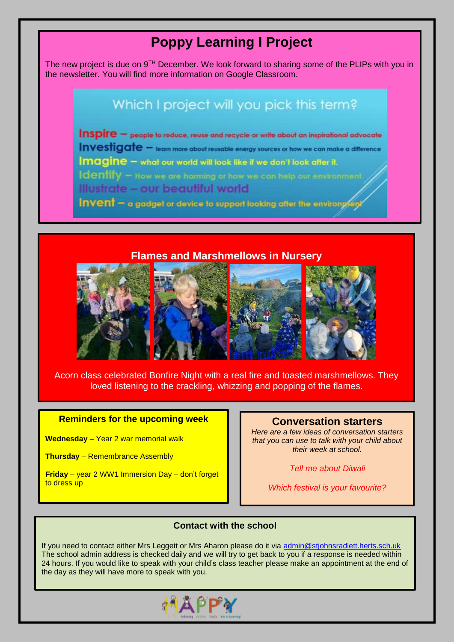## **Poppy Learning I Project**

The new project is due on  $9<sup>TH</sup>$  December. We look forward to sharing some of the PLIPs with you in the newsletter. You will find more information on Google Classroom.

### Which I project will you pick this term?

Inspire - people to reduce, reuse and recycle or write about an inspirational advocate Investigate - learn more about reusable energy sources or how we can make a difference Imagine - what our world will look like if we don't look after it. Identify - How we are harming or how we can help our environment. Illustrate - our beautiful world Invent - a gadget or device to support looking after the environgley

**Flames and Marshmellows in Nursery**



Acorn class celebrated Bonfire Night with a real fire and toasted marshmellows. They loved listening to the crackling, whizzing and popping of the flames.

### **Reminders for the upcoming week Conversation starters**

**Wednesday** – Year 2 war memorial walk

**Thursday** – Remembrance Assembly

**Friday** – year 2 WW1 Immersion Day – don't forget to dress up

*Here are a few ideas of conversation starters that you can use to talk with your child about their week at school.*

*Tell me about Diwali*

*Which festival is your favourite?*

#### **Contact with the school**

If you need to contact either Mrs Leggett or Mrs Aharon please do it via [admin@stjohnsradlett.herts.sch.uk](file:///E:/st%20johns/21%20-%2022/Newsletter/admin@stjohnsradlett.herts.sch.uk)  The school admin address is checked daily and we will try to get back to you if a response is needed within 24 hours. If you would like to speak with your child's class teacher please make an appointment at the end of the day as they will have more to speak with you.